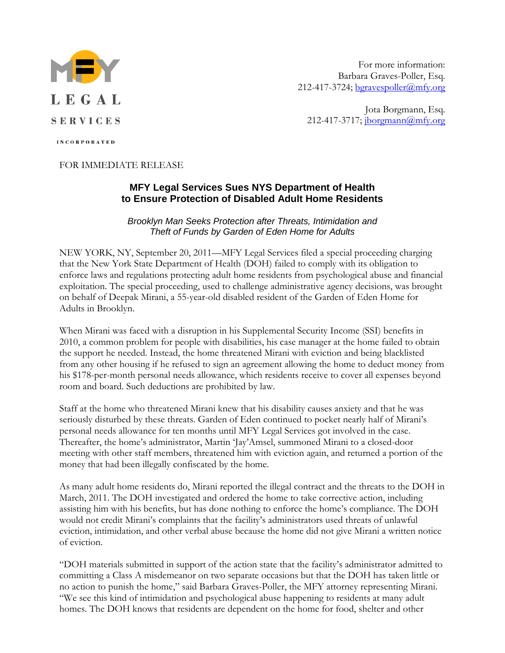

For more information: Barbara Graves-Poller, Esq. 212-417-3724; bgravespoller@mfy.org

Jota Borgmann, Esq. 212-417-3717;  $iborganan@mfy.org$ 

**INCORPORATED** 

FOR IMMEDIATE RELEASE

## **MFY Legal Services Sues NYS Department of Health to Ensure Protection of Disabled Adult Home Residents**

Brooklyn Man Seeks Protection after Threats, Intimidation and Theft of Funds by Garden of Eden Home for Adults

NEW YORK, NY, September 20, 2011—MFY Legal Services filed a special proceeding charging that the New York State Department of Health (DOH) failed to comply with its obligation to enforce laws and regulations protecting adult home residents from psychological abuse and financial exploitation. The special proceeding, used to challenge administrative agency decisions, was brought on behalf of Deepak Mirani, a 55-year-old disabled resident of the Garden of Eden Home for Adults in Brooklyn.

When Mirani was faced with a disruption in his Supplemental Security Income (SSI) benefits in 2010, a common problem for people with disabilities, his case manager at the home failed to obtain the support he needed. Instead, the home threatened Mirani with eviction and being blacklisted from any other housing if he refused to sign an agreement allowing the home to deduct money from his \$178-per-month personal needs allowance, which residents receive to cover all expenses beyond room and board. Such deductions are prohibited by law.

Staff at the home who threatened Mirani knew that his disability causes anxiety and that he was seriously disturbed by these threats. Garden of Eden continued to pocket nearly half of Mirani's personal needs allowance for ten months until MFY Legal Services got involved in the case. Thereafter, the home's administrator, Martin 'Jay'Amsel, summoned Mirani to a closed-door meeting with other staff members, threatened him with eviction again, and returned a portion of the money that had been illegally confiscated by the home.

As many adult home residents do, Mirani reported the illegal contract and the threats to the DOH in March, 2011. The DOH investigated and ordered the home to take corrective action, including assisting him with his benefits, but has done nothing to enforce the home's compliance. The DOH would not credit Mirani's complaints that the facility's administrators used threats of unlawful eviction, intimidation, and other verbal abuse because the home did not give Mirani a written notice of eviction.

"DOH materials submitted in support of the action state that the facility's administrator admitted to committing a Class A misdemeanor on two separate occasions but that the DOH has taken little or no action to punish the home," said Barbara Graves-Poller, the MFY attorney representing Mirani. "We see this kind of intimidation and psychological abuse happening to residents at many adult homes. The DOH knows that residents are dependent on the home for food, shelter and other